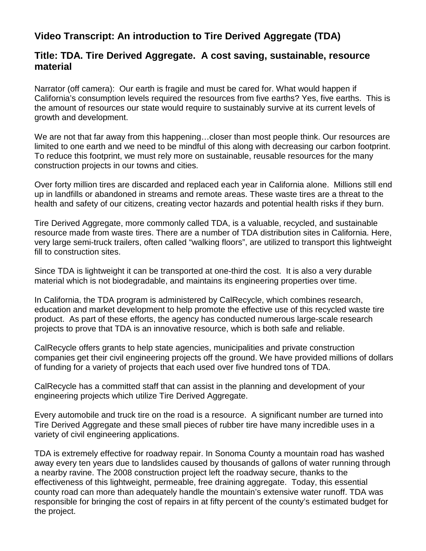## **Video Transcript: An introduction to Tire Derived Aggregate (TDA)**

## **Title: TDA. Tire Derived Aggregate. A cost saving, sustainable, resource material**

Narrator (off camera): Our earth is fragile and must be cared for. What would happen if California's consumption levels required the resources from five earths? Yes, five earths. This is the amount of resources our state would require to sustainably survive at its current levels of growth and development.

We are not that far away from this happening…closer than most people think. Our resources are limited to one earth and we need to be mindful of this along with decreasing our carbon footprint. To reduce this footprint, we must rely more on sustainable, reusable resources for the many construction projects in our towns and cities.

Over forty million tires are discarded and replaced each year in California alone. Millions still end up in landfills or abandoned in streams and remote areas. These waste tires are a threat to the health and safety of our citizens, creating vector hazards and potential health risks if they burn.

Tire Derived Aggregate, more commonly called TDA, is a valuable, recycled, and sustainable resource made from waste tires. There are a number of TDA distribution sites in California. Here, very large semi-truck trailers, often called "walking floors", are utilized to transport this lightweight fill to construction sites.

Since TDA is lightweight it can be transported at one-third the cost. It is also a very durable material which is not biodegradable, and maintains its engineering properties over time.

In California, the TDA program is administered by CalRecycle, which combines research, education and market development to help promote the effective use of this recycled waste tire product. As part of these efforts, the agency has conducted numerous large-scale research projects to prove that TDA is an innovative resource, which is both safe and reliable.

CalRecycle offers grants to help state agencies, municipalities and private construction companies get their civil engineering projects off the ground. We have provided millions of dollars of funding for a variety of projects that each used over five hundred tons of TDA.

CalRecycle has a committed staff that can assist in the planning and development of your engineering projects which utilize Tire Derived Aggregate.

Every automobile and truck tire on the road is a resource. A significant number are turned into Tire Derived Aggregate and these small pieces of rubber tire have many incredible uses in a variety of civil engineering applications.

TDA is extremely effective for roadway repair. In Sonoma County a mountain road has washed away every ten years due to landslides caused by thousands of gallons of water running through a nearby ravine. The 2008 construction project left the roadway secure, thanks to the effectiveness of this lightweight, permeable, free draining aggregate. Today, this essential county road can more than adequately handle the mountain's extensive water runoff. TDA was responsible for bringing the cost of repairs in at fifty percent of the county's estimated budget for the project.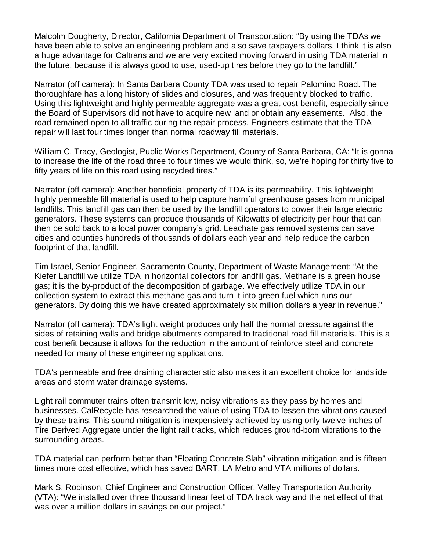Malcolm Dougherty, Director, California Department of Transportation: "By using the TDAs we have been able to solve an engineering problem and also save taxpayers dollars. I think it is also a huge advantage for Caltrans and we are very excited moving forward in using TDA material in the future, because it is always good to use, used-up tires before they go to the landfill."

Narrator (off camera): In Santa Barbara County TDA was used to repair Palomino Road. The thoroughfare has a long history of slides and closures, and was frequently blocked to traffic. Using this lightweight and highly permeable aggregate was a great cost benefit, especially since the Board of Supervisors did not have to acquire new land or obtain any easements. Also, the road remained open to all traffic during the repair process. Engineers estimate that the TDA repair will last four times longer than normal roadway fill materials.

William C. Tracy, Geologist, Public Works Department, County of Santa Barbara, CA: "It is gonna to increase the life of the road three to four times we would think, so, we're hoping for thirty five to fifty years of life on this road using recycled tires."

Narrator (off camera): Another beneficial property of TDA is its permeability. This lightweight highly permeable fill material is used to help capture harmful greenhouse gases from municipal landfills. This landfill gas can then be used by the landfill operators to power their large electric generators. These systems can produce thousands of Kilowatts of electricity per hour that can then be sold back to a local power company's grid. Leachate gas removal systems can save cities and counties hundreds of thousands of dollars each year and help reduce the carbon footprint of that landfill.

Tim Israel, Senior Engineer, Sacramento County, Department of Waste Management: "At the Kiefer Landfill we utilize TDA in horizontal collectors for landfill gas. Methane is a green house gas; it is the by-product of the decomposition of garbage. We effectively utilize TDA in our collection system to extract this methane gas and turn it into green fuel which runs our generators. By doing this we have created approximately six million dollars a year in revenue."

Narrator (off camera): TDA's light weight produces only half the normal pressure against the sides of retaining walls and bridge abutments compared to traditional road fill materials. This is a cost benefit because it allows for the reduction in the amount of reinforce steel and concrete needed for many of these engineering applications.

TDA's permeable and free draining characteristic also makes it an excellent choice for landslide areas and storm water drainage systems.

Light rail commuter trains often transmit low, noisy vibrations as they pass by homes and businesses. CalRecycle has researched the value of using TDA to lessen the vibrations caused by these trains. This sound mitigation is inexpensively achieved by using only twelve inches of Tire Derived Aggregate under the light rail tracks, which reduces ground-born vibrations to the surrounding areas.

TDA material can perform better than "Floating Concrete Slab" vibration mitigation and is fifteen times more cost effective, which has saved BART, LA Metro and VTA millions of dollars.

Mark S. Robinson, Chief Engineer and Construction Officer, Valley Transportation Authority (VTA): "We installed over three thousand linear feet of TDA track way and the net effect of that was over a million dollars in savings on our project."